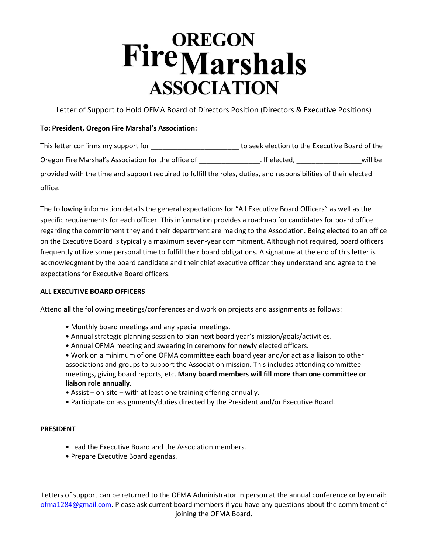# **FireMarshals ASSOCIATION**

Letter of Support to Hold OFMA Board of Directors Position (Directors & Executive Positions)

# **To: President, Oregon Fire Marshal's Association:**

| This letter confirms my support for                                                                             | to seek election to the Executive Board of the |         |
|-----------------------------------------------------------------------------------------------------------------|------------------------------------------------|---------|
| Oregon Fire Marshal's Association for the office of                                                             | . If elected,                                  | will be |
| provided with the time and support required to fulfill the roles, duties, and responsibilities of their elected |                                                |         |
| office.                                                                                                         |                                                |         |

The following information details the general expectations for "All Executive Board Officers" as well as the specific requirements for each officer. This information provides a roadmap for candidates for board office regarding the commitment they and their department are making to the Association. Being elected to an office on the Executive Board is typically a maximum seven-year commitment. Although not required, board officers frequently utilize some personal time to fulfill their board obligations. A signature at the end of this letter is acknowledgment by the board candidate and their chief executive officer they understand and agree to the expectations for Executive Board officers.

# **ALL EXECUTIVE BOARD OFFICERS**

Attend **all** the following meetings/conferences and work on projects and assignments as follows:

- Monthly board meetings and any special meetings.
- Annual strategic planning session to plan next board year's mission/goals/activities.
- Annual OFMA meeting and swearing in ceremony for newly elected officers.

• Work on a minimum of one OFMA committee each board year and/or act as a liaison to other associations and groups to support the Association mission. This includes attending committee meetings, giving board reports, etc. **Many board members will fill more than one committee or liaison role annually.** 

- Assist on-site with at least one training offering annually.
- Participate on assignments/duties directed by the President and/or Executive Board.

## **PRESIDENT**

- Lead the Executive Board and the Association members.
- Prepare Executive Board agendas.

Letters of support can be returned to the OFMA Administrator in person at the annual conference or by email: [ofma1284@gmail.com.](mailto:ofma1284@gmail.com) Please ask current board members if you have any questions about the commitment of joining the OFMA Board.